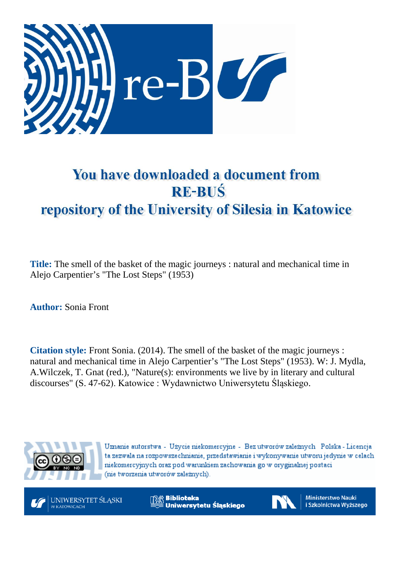

# You have downloaded a document from **RE-BUŚ** repository of the University of Silesia in Katowice

**Title:** The smell of the basket of the magic journeys : natural and mechanical time in Alejo Carpentier's "The Lost Steps" (1953)

**Author:** Sonia Front

**Citation style:** Front Sonia. (2014). The smell of the basket of the magic journeys : natural and mechanical time in Alejo Carpentier's "The Lost Steps" (1953). W: J. [Mydla,](https://integro.ciniba.edu.pl/integro/search/description?q=Mydla%2C+Jacek.+Red&index=2)  A[.Wilczek, T](https://integro.ciniba.edu.pl/integro/search/description?q=Wilczek%2C+Agata+%28filologia%29.+Red&index=2). [Gnat \(red.\), "](https://integro.ciniba.edu.pl/integro/search/description?q=Gnat%2C+Tomasz.+Red&index=2)Nature(s): environments we live by in literary and cultural discourses" (S. 47-62). Katowice : Wydawnictwo Uniwersytetu Śląskiego.



Uznanie autorstwa - Użycie niekomercyjne - Bez utworów zależnych Polska - Licencja ta zezwala na rozpowszechnianie, przedstawianie i wykonywanie utworu jedynie w celach niekomercyjnych oraz pod warunkiem zachowania go w oryginalnej postaci (nie tworzenia utworów zależnych).



**Biblioteka** Uniwersytetu Śląskiego



**Ministerstwo Nauki** i Szkolnictwa Wyższego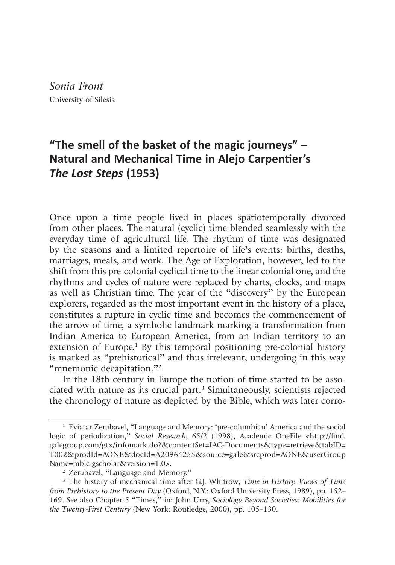*Sonia Front* University of Silesia

# **"The smell of the basket of the magic journeys" – Natural and Mechanical Time in Alejo Carpentier's** *The Lost Steps* **(1953)**

Once upon a time people lived in places spatiotemporally divorced from other places. The natural (cyclic) time blended seamlessly with the everyday time of agricultural life. The rhythm of time was designated by the seasons and a limited repertoire of life's events: births, deaths, marriages, meals, and work. The Age of Exploration, however, led to the shift from this pre-colonial cyclical time to the linear colonial one, and the rhythms and cycles of nature were replaced by charts, clocks, and maps as well as Christian time. The year of the "discovery" by the European explorers, regarded as the most important event in the history of a place, constitutes a rupture in cyclic time and becomes the commencement of the arrow of time, a symbolic landmark marking a transformation from Indian America to European America, from an Indian territory to an extension of Europe.<sup>1</sup> By this temporal positioning pre-colonial history is marked as "prehistorical" and thus irrelevant, undergoing in this way "mnemonic decapitation."<sup>2</sup>

In the 18th century in Europe the notion of time started to be associated with nature as its crucial part.3 Simultaneously, scientists rejected the chronology of nature as depicted by the Bible, which was later corro-

<sup>1</sup> Eviatar Zerubavel, "Language and Memory: 'pre-columbian' America and the social logic of periodization," *Social Research*, 65/2 (1998), Academic OneFile <http://find. galegroup.com/gtx/infomark.do?&contentSet=IAC-Documents&type=retrieve&tabID= T002&prodId=AONE&docId=A20964255&source=gale&srcprod=AONE&userGroup Name=mblc-gscholar&version=1.0>.<br><sup>2</sup> Zerubavel, "Language and Memory."

<sup>3</sup> The history of mechanical time after G.J. Whitrow, *Time in History. Views of Time from Prehistory to the Present Day* (Oxford, N.Y.: Oxford University Press, 1989), pp. 152– 169. See also Chapter 5 "Times," in: John Urry, *Sociology Beyond Societies: Mobilities for the Twenty-First Century* (New York: Routledge, 2000), pp. 105–130.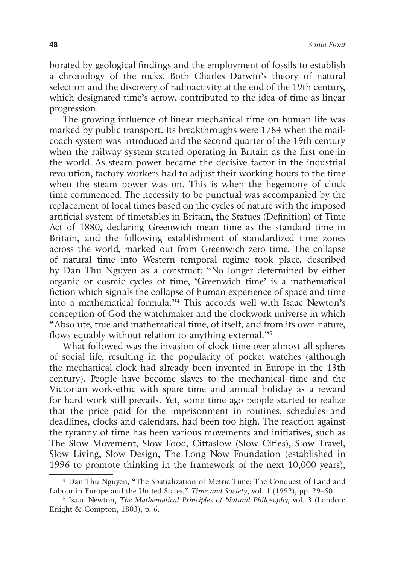borated by geological findings and the employment of fossils to establish a chronology of the rocks. Both Charles Darwin's theory of natural selection and the discovery of radioactivity at the end of the 19th century, which designated time's arrow, contributed to the idea of time as linear progression.

The growing influence of linear mechanical time on human life was marked by public transport. Its breakthroughs were 1784 when the mailcoach system was introduced and the second quarter of the 19th century when the railway system started operating in Britain as the first one in the world. As steam power became the decisive factor in the industrial revolution, factory workers had to adjust their working hours to the time when the steam power was on. This is when the hegemony of clock time commenced. The necessity to be punctual was accompanied by the replacement of local times based on the cycles of nature with the imposed artificial system of timetables in Britain, the Statues (Definition) of Time Act of 1880, declaring Greenwich mean time as the standard time in Britain, and the following establishment of standardized time zones across the world, marked out from Greenwich zero time. The collapse of natural time into Western temporal regime took place, described by Dan Thu Nguyen as a construct: "No longer determined by either organic or cosmic cycles of time, 'Greenwich time' is a mathematical fiction which signals the collapse of human experience of space and time into a mathematical formula."4 This accords well with Isaac Newton's conception of God the watchmaker and the clockwork universe in which "Absolute, true and mathematical time, of itself, and from its own nature, flows equably without relation to anything external."<sup>5</sup>

What followed was the invasion of clock-time over almost all spheres of social life, resulting in the popularity of pocket watches (although the mechanical clock had already been invented in Europe in the 13th century). People have become slaves to the mechanical time and the Victorian work-ethic with spare time and annual holiday as a reward for hard work still prevails. Yet, some time ago people started to realize that the price paid for the imprisonment in routines, schedules and deadlines, clocks and calendars, had been too high. The reaction against the tyranny of time has been various movements and initiatives, such as The Slow Movement, Slow Food, Cittaslow (Slow Cities), Slow Travel, Slow Living, Slow Design, The Long Now Foundation (established in 1996 to promote thinking in the framework of the next 10,000 years),

<sup>4</sup> Dan Thu Nguyen, "The Spatialization of Metric Time: The Conquest of Land and Labour in Europe and the United States," *Time and Society*, vol. 1 (1992), pp. 29–50.

<sup>5</sup> Isaac Newton, *The Mathematical Principles of Natural Philosoph*y, vol. 3 (London: Knight & Compton, 1803), p. 6.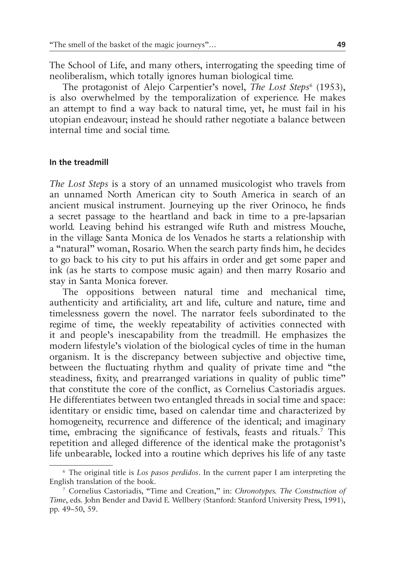The School of Life, and many others, interrogating the speeding time of neoliberalism, which totally ignores human biological time.

The protagonist of Alejo Carpentier's novel, *The Lost Steps*<sup>6</sup> (1953), is also overwhelmed by the temporalization of experience. He makes an attempt to find a way back to natural time, yet, he must fail in his utopian endeavour; instead he should rather negotiate a balance between internal time and social time.

#### **In the treadmill**

*The Lost Steps* is a story of an unnamed musicologist who travels from an unnamed North American city to South America in search of an ancient musical instrument. Journeying up the river Orinoco, he finds a secret passage to the heartland and back in time to a pre-lapsarian world. Leaving behind his estranged wife Ruth and mistress Mouche, in the village Santa Monica de los Venados he starts a relationship with a "natural" woman, Rosario. When the search party finds him, he decides to go back to his city to put his affairs in order and get some paper and ink (as he starts to compose music again) and then marry Rosario and stay in Santa Monica forever.

The oppositions between natural time and mechanical time, authenticity and artificiality, art and life, culture and nature, time and timelessness govern the novel. The narrator feels subordinated to the regime of time, the weekly repeatability of activities connected with it and people's inescapability from the treadmill. He emphasizes the modern lifestyle's violation of the biological cycles of time in the human organism. It is the discrepancy between subjective and objective time, between the fluctuating rhythm and quality of private time and "the steadiness, fixity, and prearranged variations in quality of public time" that constitute the core of the conflict, as Cornelius Castoriadis argues. He differentiates between two entangled threads in social time and space: identitary or ensidic time, based on calendar time and characterized by homogeneity, recurrence and difference of the identical; and imaginary time, embracing the significance of festivals, feasts and rituals.7 This repetition and alleged difference of the identical make the protagonist's life unbearable, locked into a routine which deprives his life of any taste

<sup>6</sup> The original title is *Los pasos perdidos*. In the current paper I am interpreting the English translation of the book.

<sup>7</sup> Cornelius Castoriadis, "Time and Creation," in: *Chronotypes. The Construction of Time*, eds. John Bender and David E. Wellbery (Stanford: Stanford University Press, 1991), pp. 49–50, 59.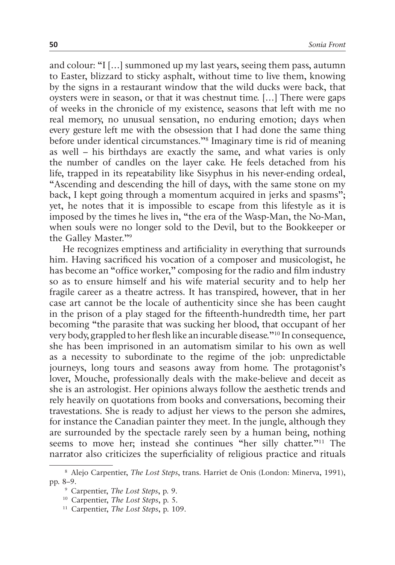and colour: "I […] summoned up my last years, seeing them pass, autumn to Easter, blizzard to sticky asphalt, without time to live them, knowing by the signs in a restaurant window that the wild ducks were back, that oysters were in season, or that it was chestnut time. […] There were gaps of weeks in the chronicle of my existence, seasons that left with me no real memory, no unusual sensation, no enduring emotion; days when every gesture left me with the obsession that I had done the same thing before under identical circumstances."8 Imaginary time is rid of meaning as well – his birthdays are exactly the same, and what varies is only the number of candles on the layer cake. He feels detached from his life, trapped in its repeatability like Sisyphus in his never-ending ordeal, "Ascending and descending the hill of days, with the same stone on my back, I kept going through a momentum acquired in jerks and spasms"; yet, he notes that it is impossible to escape from this lifestyle as it is imposed by the times he lives in, "the era of the Wasp-Man, the No-Man, when souls were no longer sold to the Devil, but to the Bookkeeper or the Galley Master."9

He recognizes emptiness and artificiality in everything that surrounds him. Having sacrificed his vocation of a composer and musicologist, he has become an "office worker," composing for the radio and film industry so as to ensure himself and his wife material security and to help her fragile career as a theatre actress. It has transpired, however, that in her case art cannot be the locale of authenticity since she has been caught in the prison of a play staged for the fifteenth-hundredth time, her part becoming "the parasite that was sucking her blood, that occupant of her very body, grappled to her flesh like an incurable disease."10 In consequence, she has been imprisoned in an automatism similar to his own as well as a necessity to subordinate to the regime of the job: unpredictable journeys, long tours and seasons away from home. The protagonist's lover, Mouche, professionally deals with the make-believe and deceit as she is an astrologist. Her opinions always follow the aesthetic trends and rely heavily on quotations from books and conversations, becoming their travestations. She is ready to adjust her views to the person she admires, for instance the Canadian painter they meet. In the jungle, although they are surrounded by the spectacle rarely seen by a human being, nothing seems to move her; instead she continues "her silly chatter."11 The narrator also criticizes the superficiality of religious practice and rituals

<sup>8</sup> Alejo Carpentier, *The Lost Steps*, trans. Harriet de Onis (London: Minerva, 1991), pp. 8–9.

<sup>9</sup> Carpentier, *The Lost Steps*, p. 9.

<sup>10</sup> Carpentier, *The Lost Steps*, p. 5.

<sup>11</sup> Carpentier, *The Lost Steps*, p. 109.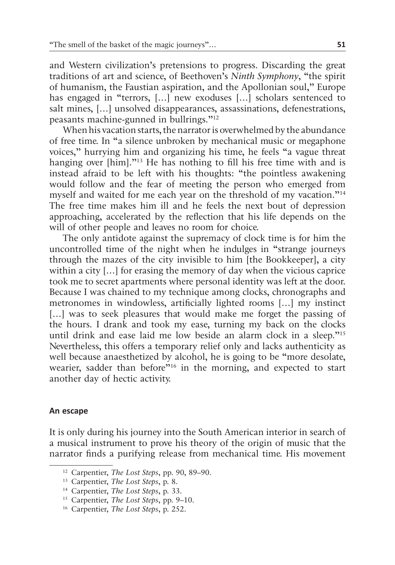and Western civilization's pretensions to progress. Discarding the great traditions of art and science, of Beethoven's *Ninth Symphony*, "the spirit of humanism, the Faustian aspiration, and the Apollonian soul," Europe has engaged in "terrors, [...] new exoduses [...] scholars sentenced to salt mines, […] unsolved disappearances, assassinations, defenestrations, peasants machine-gunned in bullrings."12

When his vacation starts, the narrator is overwhelmed by the abundance of free time. In "a silence unbroken by mechanical music or megaphone voices," hurrying him and organizing his time, he feels "a vague threat hanging over [him]."<sup>13</sup> He has nothing to fill his free time with and is instead afraid to be left with his thoughts: "the pointless awakening would follow and the fear of meeting the person who emerged from myself and waited for me each year on the threshold of my vacation."14 The free time makes him ill and he feels the next bout of depression approaching, accelerated by the reflection that his life depends on the will of other people and leaves no room for choice.

The only antidote against the supremacy of clock time is for him the uncontrolled time of the night when he indulges in "strange journeys through the mazes of the city invisible to him [the Bookkeeper], a city within a city […] for erasing the memory of day when the vicious caprice took me to secret apartments where personal identity was left at the door. Because I was chained to my technique among clocks, chronographs and metronomes in windowless, artificially lighted rooms […] my instinct [...] was to seek pleasures that would make me forget the passing of the hours. I drank and took my ease, turning my back on the clocks until drink and ease laid me low beside an alarm clock in a sleep."15 Nevertheless, this offers a temporary relief only and lacks authenticity as well because anaesthetized by alcohol, he is going to be "more desolate, wearier, sadder than before<sup>"16</sup> in the morning, and expected to start another day of hectic activity.

### **An escape**

It is only during his journey into the South American interior in search of a musical instrument to prove his theory of the origin of music that the narrator finds a purifying release from mechanical time. His movement

<sup>12</sup> Carpentier, *The Lost Steps*, pp. 90, 89–90.

<sup>13</sup> Carpentier, *The Lost Steps*, p. 8.

<sup>14</sup> Carpentier, *The Lost Steps*, p. 33.

<sup>15</sup> Carpentier, *The Lost Steps*, pp. 9–10.

<sup>16</sup> Carpentier, *The Lost Steps*, p. 252.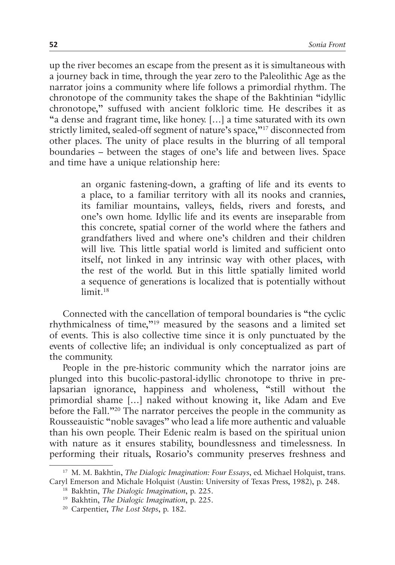up the river becomes an escape from the present as it is simultaneous with a journey back in time, through the year zero to the Paleolithic Age as the narrator joins a community where life follows a primordial rhythm. The chronotope of the community takes the shape of the Bakhtinian "idyllic chronotope," suffused with ancient folkloric time. He describes it as "a dense and fragrant time, like honey. […] a time saturated with its own strictly limited, sealed-off segment of nature's space,"17 disconnected from other places. The unity of place results in the blurring of all temporal boundaries – between the stages of one's life and between lives. Space and time have a unique relationship here:

> an organic fastening-down, a grafting of life and its events to a place, to a familiar territory with all its nooks and crannies, its familiar mountains, valleys, fields, rivers and forests, and one's own home. Idyllic life and its events are inseparable from this concrete, spatial corner of the world where the fathers and grandfathers lived and where one's children and their children will live. This little spatial world is limited and sufficient onto itself, not linked in any intrinsic way with other places, with the rest of the world. But in this little spatially limited world a sequence of generations is localized that is potentially without limit<sup>18</sup>

Connected with the cancellation of temporal boundaries is "the cyclic rhythmicalness of time,"19 measured by the seasons and a limited set of events. This is also collective time since it is only punctuated by the events of collective life; an individual is only conceptualized as part of the community.

People in the pre-historic community which the narrator joins are plunged into this bucolic-pastoral-idyllic chronotope to thrive in prelapsarian ignorance, happiness and wholeness, "still without the primordial shame […] naked without knowing it, like Adam and Eve before the Fall."20 The narrator perceives the people in the community as Rousseauistic "noble savages" who lead a life more authentic and valuable than his own people. Their Edenic realm is based on the spiritual union with nature as it ensures stability, boundlessness and timelessness. In performing their rituals, Rosario's community preserves freshness and

<sup>17</sup> M. M. Bakhtin, *The Dialogic Imagination: Four Essays*, ed. Michael Holquist, trans. Caryl Emerson and Michale Holquist (Austin: University of Texas Press, 1982), p. 248.

<sup>18</sup> Bakhtin, *The Dialogic Imagination*, p. 225.

<sup>19</sup> Bakhtin, *The Dialogic Imagination*, p. 225.

<sup>20</sup> Carpentier, *The Lost Steps*, p. 182.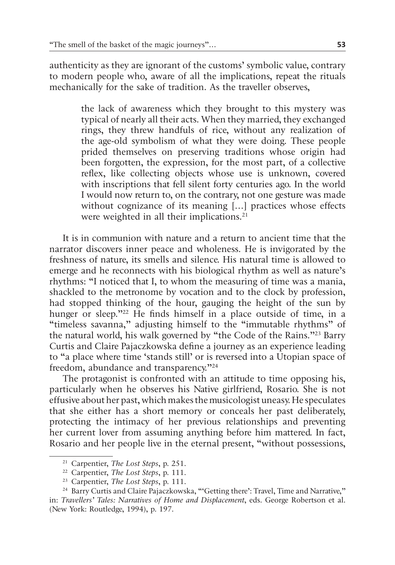authenticity as they are ignorant of the customs' symbolic value, contrary to modern people who, aware of all the implications, repeat the rituals mechanically for the sake of tradition. As the traveller observes,

> the lack of awareness which they brought to this mystery was typical of nearly all their acts. When they married, they exchanged rings, they threw handfuls of rice, without any realization of the age-old symbolism of what they were doing. These people prided themselves on preserving traditions whose origin had been forgotten, the expression, for the most part, of a collective reflex, like collecting objects whose use is unknown, covered with inscriptions that fell silent forty centuries ago. In the world I would now return to, on the contrary, not one gesture was made without cognizance of its meaning […] practices whose effects were weighted in all their implications.<sup>21</sup>

It is in communion with nature and a return to ancient time that the narrator discovers inner peace and wholeness. He is invigorated by the freshness of nature, its smells and silence. His natural time is allowed to emerge and he reconnects with his biological rhythm as well as nature's rhythms: "I noticed that I, to whom the measuring of time was a mania, shackled to the metronome by vocation and to the clock by profession, had stopped thinking of the hour, gauging the height of the sun by hunger or sleep."<sup>22</sup> He finds himself in a place outside of time, in a "timeless savanna," adjusting himself to the "immutable rhythms" of the natural world, his walk governed by "the Code of the Rains."23 Barry Curtis and Claire Pajaczkowska define a journey as an experience leading to "a place where time 'stands still' or is reversed into a Utopian space of freedom, abundance and transparency."24

The protagonist is confronted with an attitude to time opposing his, particularly when he observes his Native girlfriend, Rosario. She is not effusive about her past, which makes the musicologist uneasy. He speculates that she either has a short memory or conceals her past deliberately, protecting the intimacy of her previous relationships and preventing her current lover from assuming anything before him mattered. In fact, Rosario and her people live in the eternal present, "without possessions,

<sup>21</sup> Carpentier, *The Lost Steps*, p. 251.

<sup>22</sup> Carpentier, *The Lost Steps*, p. 111.

<sup>23</sup> Carpentier, *The Lost Steps*, p. 111.

<sup>&</sup>lt;sup>24</sup> Barry Curtis and Claire Pajaczkowska, "'Getting there': Travel, Time and Narrative," in: *Travellers' Tales: Narratives of Home and Displacement*, eds. George Robertson et al. (New York: Routledge, 1994), p. 197.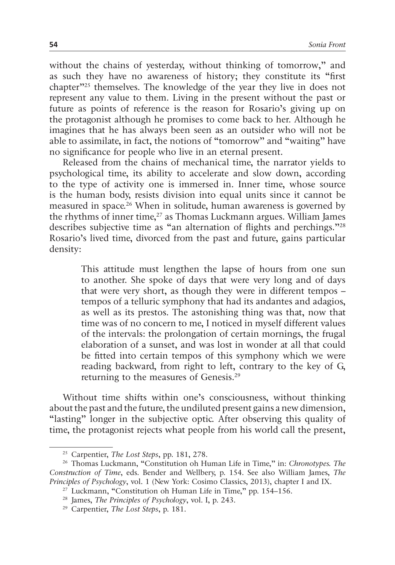without the chains of yesterday, without thinking of tomorrow," and as such they have no awareness of history; they constitute its "first chapter"25 themselves. The knowledge of the year they live in does not represent any value to them. Living in the present without the past or future as points of reference is the reason for Rosario's giving up on the protagonist although he promises to come back to her. Although he imagines that he has always been seen as an outsider who will not be able to assimilate, in fact, the notions of "tomorrow" and "waiting" have no significance for people who live in an eternal present.

Released from the chains of mechanical time, the narrator yields to psychological time, its ability to accelerate and slow down, according to the type of activity one is immersed in. Inner time, whose source is the human body, resists division into equal units since it cannot be measured in space.26 When in solitude, human awareness is governed by the rhythms of inner time,<sup>27</sup> as Thomas Luckmann argues. William James describes subjective time as "an alternation of flights and perchings."28 Rosario's lived time, divorced from the past and future, gains particular density:

> This attitude must lengthen the lapse of hours from one sun to another. She spoke of days that were very long and of days that were very short, as though they were in different tempos – tempos of a telluric symphony that had its andantes and adagios, as well as its prestos. The astonishing thing was that, now that time was of no concern to me, I noticed in myself different values of the intervals: the prolongation of certain mornings, the frugal elaboration of a sunset, and was lost in wonder at all that could be fitted into certain tempos of this symphony which we were reading backward, from right to left, contrary to the key of G, returning to the measures of Genesis.29

Without time shifts within one's consciousness, without thinking about the past and the future, the undiluted present gains a new dimension, "lasting" longer in the subjective optic. After observing this quality of time, the protagonist rejects what people from his world call the present,

<sup>25</sup> Carpentier, *The Lost Steps*, pp. 181, 278.

<sup>26</sup> Thomas Luckmann, "Constitution oh Human Life in Time," in: *Chronotypes. The Construction of Time*, eds. Bender and Wellbery, p. 154. See also William James, *The Principles of Psychology*, vol. 1 (New York: Cosimo Classics, 2013), chapter I and IX.

<sup>27</sup> Luckmann, "Constitution oh Human Life in Time," pp. 154–156.

<sup>28</sup> James, *The Principles of Psychology*, vol. I, p. 243.

<sup>29</sup> Carpentier, *The Lost Steps*, p. 181.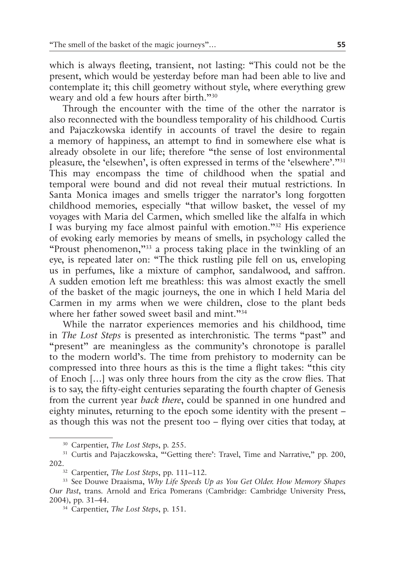which is always fleeting, transient, not lasting: "This could not be the present, which would be yesterday before man had been able to live and contemplate it; this chill geometry without style, where everything grew weary and old a few hours after birth."30

Through the encounter with the time of the other the narrator is also reconnected with the boundless temporality of his childhood. Curtis and Pajaczkowska identify in accounts of travel the desire to regain a memory of happiness, an attempt to find in somewhere else what is already obsolete in our life; therefore "the sense of lost environmental pleasure, the 'elsewhen', is often expressed in terms of the 'elsewhere'."31 This may encompass the time of childhood when the spatial and temporal were bound and did not reveal their mutual restrictions. In Santa Monica images and smells trigger the narrator's long forgotten childhood memories, especially "that willow basket, the vessel of my voyages with Maria del Carmen, which smelled like the alfalfa in which I was burying my face almost painful with emotion."32 His experience of evoking early memories by means of smells, in psychology called the "Proust phenomenon,"33 a process taking place in the twinkling of an eye, is repeated later on: "The thick rustling pile fell on us, enveloping us in perfumes, like a mixture of camphor, sandalwood, and saffron. A sudden emotion left me breathless: this was almost exactly the smell of the basket of the magic journeys, the one in which I held Maria del Carmen in my arms when we were children, close to the plant beds where her father sowed sweet basil and mint."<sup>34</sup>

While the narrator experiences memories and his childhood, time in *The Lost Steps* is presented as interchronistic. The terms "past" and "present" are meaningless as the community's chronotope is parallel to the modern world's. The time from prehistory to modernity can be compressed into three hours as this is the time a flight takes: "this city of Enoch […] was only three hours from the city as the crow flies. That is to say, the fifty-eight centuries separating the fourth chapter of Genesis from the current year *back there*, could be spanned in one hundred and eighty minutes, returning to the epoch some identity with the present – as though this was not the present too – flying over cities that today, at

<sup>30</sup> Carpentier, *The Lost Steps*, p. 255.

<sup>&</sup>lt;sup>31</sup> Curtis and Pajaczkowska, "'Getting there': Travel, Time and Narrative," pp. 200, 202.32 Carpentier, *The Lost Steps*, pp. 111–112.

<sup>33</sup> See Douwe Draaisma, *Why Life Speeds Up as You Get Older. How Memory Shapes Our Past*, trans. Arnold and Erica Pomerans (Cambridge: Cambridge University Press, 2004), pp. 31–44. 34 Carpentier, *The Lost Steps*, p. 151.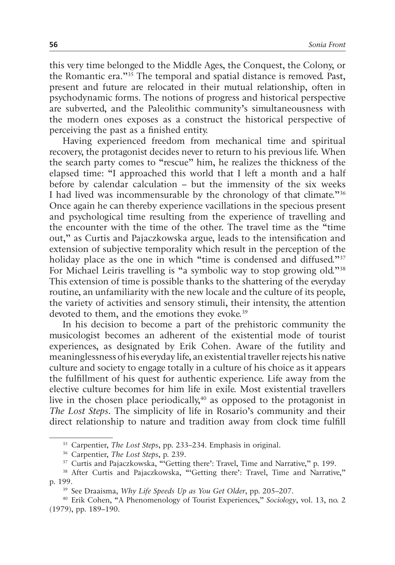this very time belonged to the Middle Ages, the Conquest, the Colony, or the Romantic era."35 The temporal and spatial distance is removed. Past, present and future are relocated in their mutual relationship, often in psychodynamic forms. The notions of progress and historical perspective are subverted, and the Paleolithic community's simultaneousness with the modern ones exposes as a construct the historical perspective of perceiving the past as a finished entity.

Having experienced freedom from mechanical time and spiritual recovery, the protagonist decides never to return to his previous life. When the search party comes to "rescue" him, he realizes the thickness of the elapsed time: "I approached this world that I left a month and a half before by calendar calculation – but the immensity of the six weeks I had lived was incommensurable by the chronology of that climate."36 Once again he can thereby experience vacillations in the specious present and psychological time resulting from the experience of travelling and the encounter with the time of the other. The travel time as the "time out," as Curtis and Pajaczkowska argue, leads to the intensification and extension of subjective temporality which result in the perception of the holiday place as the one in which "time is condensed and diffused."<sup>37</sup> For Michael Leiris travelling is "a symbolic way to stop growing old."<sup>38</sup> This extension of time is possible thanks to the shattering of the everyday routine, an unfamiliarity with the new locale and the culture of its people, the variety of activities and sensory stimuli, their intensity, the attention devoted to them, and the emotions they evoke.<sup>39</sup>

In his decision to become a part of the prehistoric community the musicologist becomes an adherent of the existential mode of tourist experiences, as designated by Erik Cohen. Aware of the futility and meaninglessness of his everyday life, an existential traveller rejects his native culture and society to engage totally in a culture of his choice as it appears the fulfillment of his quest for authentic experience. Life away from the elective culture becomes for him life in exile. Most existential travellers live in the chosen place periodically,<sup>40</sup> as opposed to the protagonist in *The Lost Steps*. The simplicity of life in Rosario's community and their direct relationship to nature and tradition away from clock time fulfill

<sup>35</sup> Carpentier, *The Lost Steps*, pp. 233–234. Emphasis in original.

<sup>36</sup> Carpentier, *The Lost Steps*, p. 239.

<sup>&</sup>lt;sup>37</sup> Curtis and Pajaczkowska, "Getting there': Travel, Time and Narrative," p. 199.

<sup>38</sup> After Curtis and Pajaczkowska, "'Getting there': Travel, Time and Narrative," p. 199.

<sup>39</sup> See Draaisma, *Why Life Speeds Up as You Get Older*, pp. 205–207.

<sup>40</sup> Erik Cohen, "A Phenomenology of Tourist Experiences," *Sociology*, vol. 13, no. 2 (1979), pp. 189–190.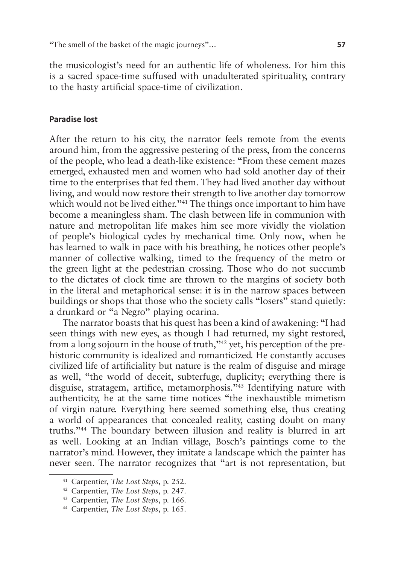the musicologist's need for an authentic life of wholeness. For him this is a sacred space-time suffused with unadulterated spirituality, contrary to the hasty artificial space-time of civilization.

# **Paradise lost**

After the return to his city, the narrator feels remote from the events around him, from the aggressive pestering of the press, from the concerns of the people, who lead a death-like existence: "From these cement mazes emerged, exhausted men and women who had sold another day of their time to the enterprises that fed them. They had lived another day without living, and would now restore their strength to live another day tomorrow which would not be lived either."<sup>41</sup> The things once important to him have become a meaningless sham. The clash between life in communion with nature and metropolitan life makes him see more vividly the violation of people's biological cycles by mechanical time. Only now, when he has learned to walk in pace with his breathing, he notices other people's manner of collective walking, timed to the frequency of the metro or the green light at the pedestrian crossing. Those who do not succumb to the dictates of clock time are thrown to the margins of society both in the literal and metaphorical sense: it is in the narrow spaces between buildings or shops that those who the society calls "losers" stand quietly: a drunkard or "a Negro" playing ocarina.

The narrator boasts that his quest has been a kind of awakening: "I had seen things with new eyes, as though I had returned, my sight restored, from a long sojourn in the house of truth,"42 yet, his perception of the prehistoric community is idealized and romanticized. He constantly accuses civilized life of artificiality but nature is the realm of disguise and mirage as well, "the world of deceit, subterfuge, duplicity; everything there is disguise, stratagem, artifice, metamorphosis."43 Identifying nature with authenticity, he at the same time notices "the inexhaustible mimetism of virgin nature. Everything here seemed something else, thus creating a world of appearances that concealed reality, casting doubt on many truths."44 The boundary between illusion and reality is blurred in art as well. Looking at an Indian village, Bosch's paintings come to the narrator's mind. However, they imitate a landscape which the painter has never seen. The narrator recognizes that "art is not representation, but

<sup>41</sup> Carpentier, *The Lost Steps*, p. 252.

<sup>42</sup> Carpentier, *The Lost Steps*, p. 247.

<sup>43</sup> Carpentier, *The Lost Steps*, p. 166.

<sup>44</sup> Carpentier, *The Lost Steps*, p. 165.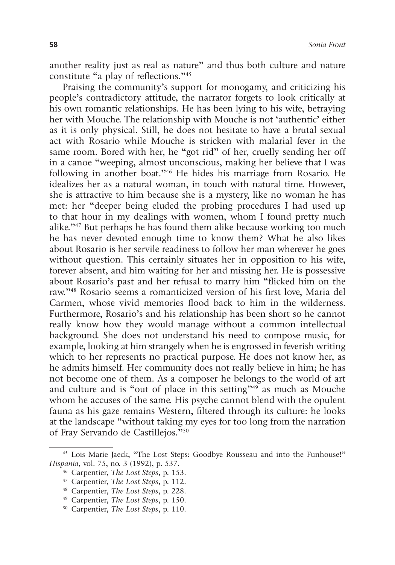another reality just as real as nature" and thus both culture and nature constitute "a play of reflections."45

Praising the community's support for monogamy, and criticizing his people's contradictory attitude, the narrator forgets to look critically at his own romantic relationships. He has been lying to his wife, betraying her with Mouche. The relationship with Mouche is not 'authentic' either as it is only physical. Still, he does not hesitate to have a brutal sexual act with Rosario while Mouche is stricken with malarial fever in the same room. Bored with her, he "got rid" of her, cruelly sending her off in a canoe "weeping, almost unconscious, making her believe that I was following in another boat."46 He hides his marriage from Rosario. He idealizes her as a natural woman, in touch with natural time. However, she is attractive to him because she is a mystery, like no woman he has met: her "deeper being eluded the probing procedures I had used up to that hour in my dealings with women, whom I found pretty much alike."47 But perhaps he has found them alike because working too much he has never devoted enough time to know them? What he also likes about Rosario is her servile readiness to follow her man wherever he goes without question. This certainly situates her in opposition to his wife, forever absent, and him waiting for her and missing her. He is possessive about Rosario's past and her refusal to marry him "flicked him on the raw."48 Rosario seems a romanticized version of his first love, Maria del Carmen, whose vivid memories flood back to him in the wilderness. Furthermore, Rosario's and his relationship has been short so he cannot really know how they would manage without a common intellectual background. She does not understand his need to compose music, for example, looking at him strangely when he is engrossed in feverish writing which to her represents no practical purpose. He does not know her, as he admits himself. Her community does not really believe in him; he has not become one of them. As a composer he belongs to the world of art and culture and is "out of place in this setting"49 as much as Mouche whom he accuses of the same. His psyche cannot blend with the opulent fauna as his gaze remains Western, filtered through its culture: he looks at the landscape "without taking my eyes for too long from the narration of Fray Servando de Castillejos."50

<sup>45</sup> Lois Marie Jaeck, "The Lost Steps: Goodbye Rousseau and into the Funhouse!" *Hispania*, vol. 75, no. 3 (1992), p. 537.

<sup>46</sup> Carpentier, *The Lost Steps*, p. 153.

<sup>47</sup> Carpentier, *The Lost Steps*, p. 112.

<sup>48</sup> Carpentier, *The Lost Steps*, p. 228.

<sup>49</sup> Carpentier, *The Lost Steps*, p. 150.

<sup>50</sup> Carpentier, *The Lost Steps*, p. 110.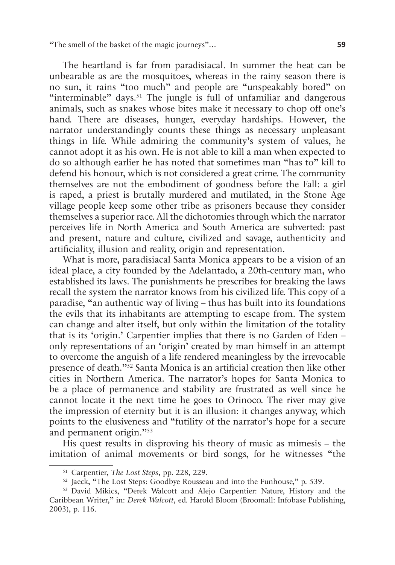The heartland is far from paradisiacal. In summer the heat can be unbearable as are the mosquitoes, whereas in the rainy season there is no sun, it rains "too much" and people are "unspeakably bored" on "interminable" days.<sup>51</sup> The jungle is full of unfamiliar and dangerous animals, such as snakes whose bites make it necessary to chop off one's hand. There are diseases, hunger, everyday hardships. However, the narrator understandingly counts these things as necessary unpleasant things in life. While admiring the community's system of values, he cannot adopt it as his own. He is not able to kill a man when expected to do so although earlier he has noted that sometimes man "has to" kill to defend his honour, which is not considered a great crime. The community themselves are not the embodiment of goodness before the Fall: a girl is raped, a priest is brutally murdered and mutilated, in the Stone Age village people keep some other tribe as prisoners because they consider themselves a superior race. All the dichotomies through which the narrator perceives life in North America and South America are subverted: past and present, nature and culture, civilized and savage, authenticity and artificiality, illusion and reality, origin and representation.

What is more, paradisiacal Santa Monica appears to be a vision of an ideal place, a city founded by the Adelantado, a 20th-century man, who established its laws. The punishments he prescribes for breaking the laws recall the system the narrator knows from his civilized life. This copy of a paradise, "an authentic way of living – thus has built into its foundations the evils that its inhabitants are attempting to escape from. The system can change and alter itself, but only within the limitation of the totality that is its 'origin.' Carpentier implies that there is no Garden of Eden – only representations of an 'origin' created by man himself in an attempt to overcome the anguish of a life rendered meaningless by the irrevocable presence of death."52 Santa Monica is an artificial creation then like other cities in Northern America. The narrator's hopes for Santa Monica to be a place of permanence and stability are frustrated as well since he cannot locate it the next time he goes to Orinoco. The river may give the impression of eternity but it is an illusion: it changes anyway, which points to the elusiveness and "futility of the narrator's hope for a secure and permanent origin."<sup>53</sup>

His quest results in disproving his theory of music as mimesis – the imitation of animal movements or bird songs, for he witnesses "the

<sup>51</sup> Carpentier, *The Lost Steps*, pp. 228, 229.

<sup>52</sup> Jaeck, "The Lost Steps: Goodbye Rousseau and into the Funhouse," p. 539.

<sup>53</sup> David Mikics, "Derek Walcott and Alejo Carpentier: Nature, History and the Caribbean Writer," in: *Derek Walcott*, ed. Harold Bloom (Broomall: Infobase Publishing, 2003), p. 116.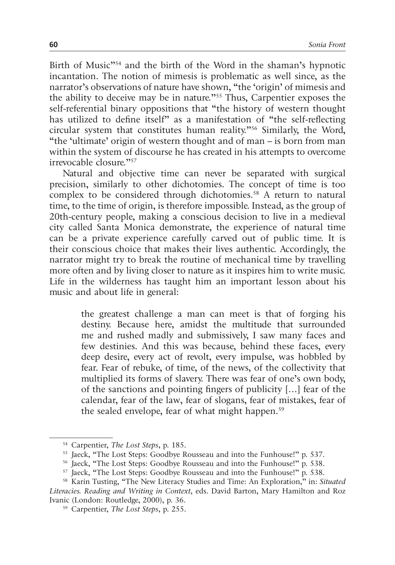Birth of Music"<sup>54</sup> and the birth of the Word in the shaman's hypnotic incantation. The notion of mimesis is problematic as well since, as the narrator's observations of nature have shown, "the 'origin' of mimesis and the ability to deceive may be in nature."55 Thus, Carpentier exposes the self-referential binary oppositions that "the history of western thought has utilized to define itself" as a manifestation of "the self-reflecting circular system that constitutes human reality."56 Similarly, the Word, "the 'ultimate' origin of western thought and of man – is born from man within the system of discourse he has created in his attempts to overcome irrevocable closure."57

Natural and objective time can never be separated with surgical precision, similarly to other dichotomies. The concept of time is too complex to be considered through dichotomies.<sup>58</sup> A return to natural time, to the time of origin, is therefore impossible. Instead, as the group of 20th-century people, making a conscious decision to live in a medieval city called Santa Monica demonstrate, the experience of natural time can be a private experience carefully carved out of public time. It is their conscious choice that makes their lives authentic. Accordingly, the narrator might try to break the routine of mechanical time by travelling more often and by living closer to nature as it inspires him to write music. Life in the wilderness has taught him an important lesson about his music and about life in general:

> the greatest challenge a man can meet is that of forging his destiny. Because here, amidst the multitude that surrounded me and rushed madly and submissively, I saw many faces and few destinies. And this was because, behind these faces, every deep desire, every act of revolt, every impulse, was hobbled by fear. Fear of rebuke, of time, of the news, of the collectivity that multiplied its forms of slavery. There was fear of one's own body, of the sanctions and pointing fingers of publicity […] fear of the calendar, fear of the law, fear of slogans, fear of mistakes, fear of the sealed envelope, fear of what might happen.<sup>59</sup>

<sup>54</sup> Carpentier, *The Lost Steps*, p. 185.

<sup>55</sup> Jaeck, "The Lost Steps: Goodbye Rousseau and into the Funhouse!" p. 537.

<sup>56</sup> Jaeck, "The Lost Steps: Goodbye Rousseau and into the Funhouse!" p. 538.

<sup>57</sup> Jaeck, "The Lost Steps: Goodbye Rousseau and into the Funhouse!" p. 538.

<sup>58</sup> Karin Tusting, "The New Literacy Studies and Time: An Exploration," in: *Situated Literacies. Reading and Writing in Context*, eds. David Barton, Mary Hamilton and Roz Ivanic (London: Routledge, 2000), p. 36. 59 Carpentier, *The Lost Steps*, p. 255.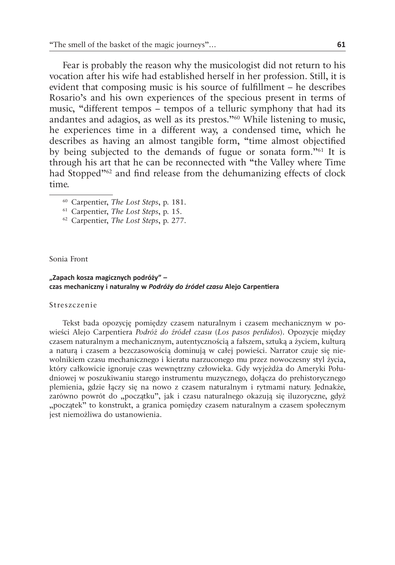Fear is probably the reason why the musicologist did not return to his vocation after his wife had established herself in her profession. Still, it is evident that composing music is his source of fulfillment – he describes Rosario's and his own experiences of the specious present in terms of music, "different tempos – tempos of a telluric symphony that had its andantes and adagios, as well as its prestos."<sup>60</sup> While listening to music, he experiences time in a different way, a condensed time, which he describes as having an almost tangible form, "time almost objectified by being subjected to the demands of fugue or sonata form."61 It is through his art that he can be reconnected with "the Valley where Time had Stopped"<sup>62</sup> and find release from the dehumanizing effects of clock time.

- <sup>60</sup> Carpentier, *The Lost Steps*, p. 181.
- <sup>61</sup> Carpentier, *The Lost Steps*, p. 15.
- <sup>62</sup> Carpentier, *The Lost Steps*, p. 277.

Sonia Front

#### **"Zapach kosza magicznych podróży" – czas mechaniczny i naturalny w** *Podróży do źródeł czasu* **Alejo Carpentiera**

#### Streszczenie

Tekst bada opozycję pomiędzy czasem naturalnym i czasem mechanicznym w powieści Alejo Carpentiera *Podróż do źródeł czasu* (*Los pasos perdidos*). Opozycje między czasem naturalnym a mechanicznym, autentycznością a fałszem, sztuką a życiem, kulturą a naturą i czasem a bezczasowością dominują w całej powieści. Narrator czuje się niewolnikiem czasu mechanicznego i kieratu narzuconego mu przez nowoczesny styl życia, który całkowicie ignoruje czas wewnętrzny człowieka. Gdy wyjeżdża do Ameryki Południowej w poszukiwaniu starego instrumentu muzycznego, dołącza do prehistorycznego plemienia, gdzie łączy się na nowo z czasem naturalnym i rytmami natury. Jednakże, zarówno powrót do "początku", jak i czasu naturalnego okazują się iluzoryczne, gdyż "początek" to konstrukt, a granica pomiędzy czasem naturalnym a czasem społecznym jest niemożliwa do ustanowienia.